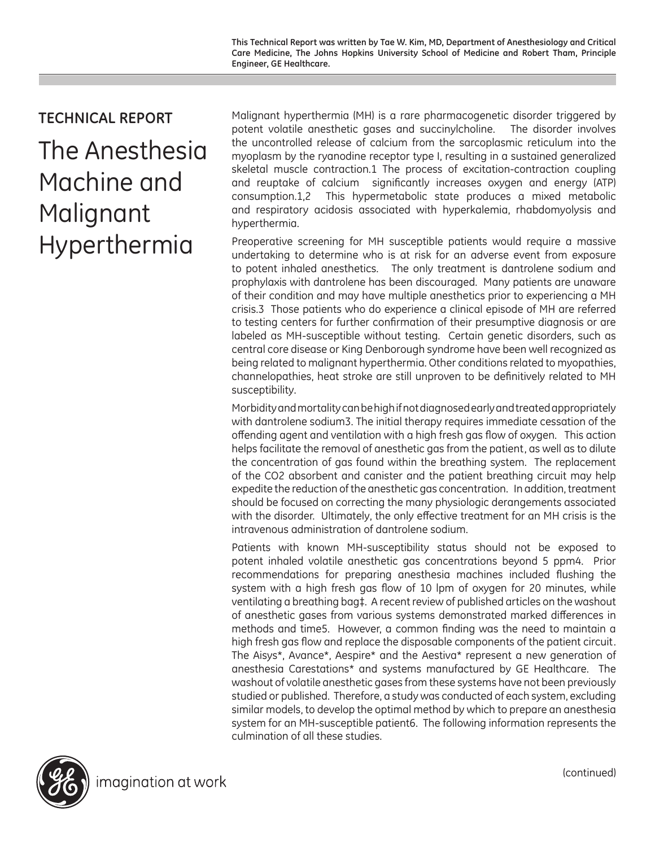## **TECHNICAL REPORT**

The Anesthesia Machine and Malignant Hyperthermia

Malignant hyperthermia (MH) is a rare pharmacogenetic disorder triggered by potent volatile anesthetic gases and succinylcholine. The disorder involves the uncontrolled release of calcium from the sarcoplasmic reticulum into the myoplasm by the ryanodine receptor type I, resulting in a sustained generalized skeletal muscle contraction.1 The process of excitation-contraction coupling and reuptake of calcium significantly increases oxygen and energy (ATP) consumption.1,2 This hypermetabolic state produces a mixed metabolic and respiratory acidosis associated with hyperkalemia, rhabdomyolysis and hyperthermia.

Preoperative screening for MH susceptible patients would require a massive undertaking to determine who is at risk for an adverse event from exposure to potent inhaled anesthetics. The only treatment is dantrolene sodium and prophylaxis with dantrolene has been discouraged. Many patients are unaware of their condition and may have multiple anesthetics prior to experiencing a MH crisis.3 Those patients who do experience a clinical episode of MH are referred to testing centers for further confirmation of their presumptive diagnosis or are labeled as MH-susceptible without testing. Certain genetic disorders, such as central core disease or King Denborough syndrome have been well recognized as being related to malignant hyperthermia. Other conditions related to myopathies, channelopathies, heat stroke are still unproven to be definitively related to MH susceptibility.

Morbidity and mortality can be high if not diagnosed early and treated appropriately with dantrolene sodium3. The initial therapy requires immediate cessation of the offending agent and ventilation with a high fresh gas flow of oxygen. This action helps facilitate the removal of anesthetic gas from the patient, as well as to dilute the concentration of gas found within the breathing system. The replacement of the CO2 absorbent and canister and the patient breathing circuit may help expedite the reduction of the anesthetic gas concentration. In addition, treatment should be focused on correcting the many physiologic derangements associated with the disorder. Ultimately, the only effective treatment for an MH crisis is the intravenous administration of dantrolene sodium.

Patients with known MH-susceptibility status should not be exposed to potent inhaled volatile anesthetic gas concentrations beyond 5 ppm4. Prior recommendations for preparing anesthesia machines included flushing the system with a high fresh gas flow of 10 lpm of oxygen for 20 minutes, while ventilating a breathing bag‡. A recent review of published articles on the washout of anesthetic gases from various systems demonstrated marked differences in methods and time5. However, a common finding was the need to maintain a high fresh gas flow and replace the disposable components of the patient circuit. The Aisys\*, Avance\*, Aespire\* and the Aestiva\* represent a new generation of anesthesia Carestations\* and systems manufactured by GE Healthcare. The washout of volatile anesthetic gases from these systems have not been previously studied or published. Therefore, a study was conducted of each system, excluding similar models, to develop the optimal method by which to prepare an anesthesia system for an MH-susceptible patient6. The following information represents the culmination of all these studies.